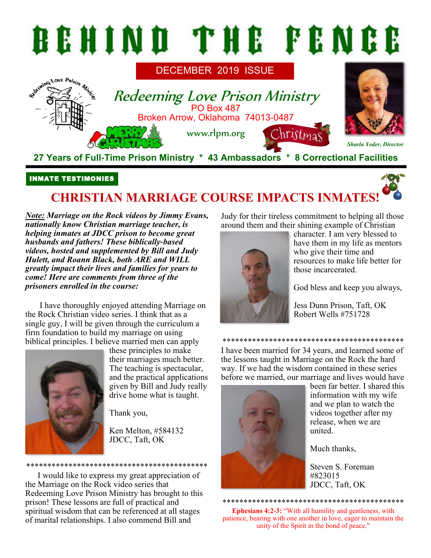

## INMATE TESTIMONIES

# **CHRISTIAN MARRIAGE COURSE IMPACTS INMATES!**

*Note: Marriage on the Rock videos by Jimmy Evans, nationally know Christian marriage teacher, is helping inmates at JDCC prison to become great husbands and fathers! These biblically-based videos, hosted and supplemented by Bill and Judy Hulett, and Roann Black, both ARE and WILL greatly impact their lives and families for years to come! Here are comments from three of the prisoners enrolled in the course:* 

I have thoroughly enjoyed attending Marriage on the Rock Christian video series. I think that as a single guy, I will be given through the curriculum a firm foundation to build my marriage on using biblical principles. I believe married men can apply



these principles to make their marriages much better. The teaching is spectacular, and the practical applications given by Bill and Judy really drive home what is taught.

Thank you,

Ken Melton, #584132 JDCC, Taft, OK

\*\*\*\*\*\*\*\*\*\*\*\*\*\*\*\*\*\*\*\*\*\*\*\*\*\*\*\*\*\*\*\*\*\*\*\*\*\*\*\*\*\*\*

I would like to express my great appreciation of the Marriage on the Rock video series that Redeeming Love Prison Ministry has brought to this prison! These lessons are full of practical and spiritual wisdom that can be referenced at all stages of marital relationships. I also commend Bill and

Judy for their tireless commitment to helping all those around them and their shining example of Christian



character. I am very blessed to have them in my life as mentors who give their time and resources to make life better for those incarcerated.

God bless and keep you always,

Jess Dunn Prison, Taft, OK Robert Wells #751728

I have been married for 34 years, and learned some of the lessons taught in Marriage on the Rock the hard way. If we had the wisdom contained in these series before we married, our marriage and lives would have

\*\*\*\*\*\*\*\*\*\*\*\*\*\*\*\*\*\*\*\*\*\*\*\*\*\*\*\*\*\*\*\*\*\*\*\*\*\*\*\*\*\*\*



been far better. I shared this information with my wife and we plan to watch the videos together after my release, when we are united.

Much thanks,

Steven S. Foreman #823015 JDCC, Taft, OK

\*\*\*\*\*\*\*\*\*\*\*\*\*\*\*\*\*\*\*\*\*\*\*\*\*\*\*\*\*\*\*\*\*\*\*\*\*\*\*\*\*\*\*

**Ephesians 4:2-3:** "With all humility and gentleness, with patience, bearing with one another in love, eager to maintain the unity of the Spirit in the bond of peace."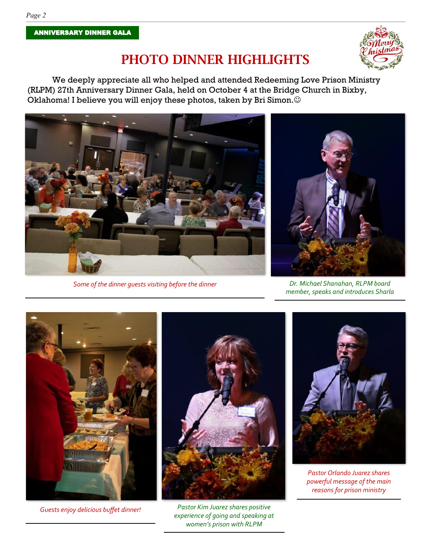*Page 2*



## PHOTO DINNER HIGHLIGHTS

We deeply appreciate all who helped and attended Redeeming Love Prison Ministry (RLPM) 27th Anniversary Dinner Gala, held on October 4 at the Bridge Church in Bixby, Oklahoma! I believe you will enjoy these photos, taken by Bri Simon. $\odot$ 



*Some of the dinner guests visiting before the dinner Dr. Michael Shanahan, RLPM board* 



*member, speaks and introduces Sharla*



*Guests enjoy delicious buffet dinner!*



*Pastor Kim Juarez shares positive experience of going and speaking at women's prison with RLPM*



*Pastor Orlando Juarez shares powerful message of the main reasons for prison ministry*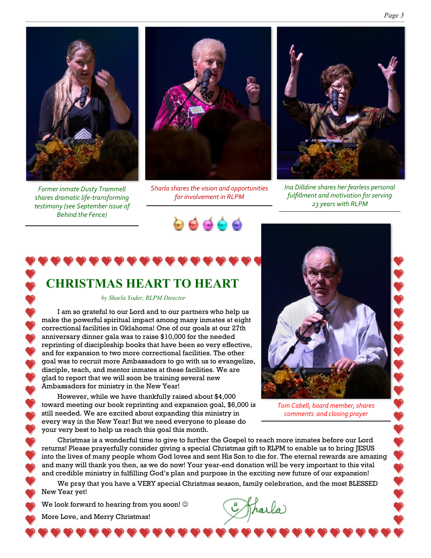

*Former inmate Dusty Trammell shares dramatic life-transforming testimony (see September issue of Behind the Fence)*



*Sharla shares the vision and opportunities for involvement in RLPM*

96666



*Ina Dilldine shares her fearless personal fulfillment and motivation for serving 23 years with RLPM*

# **CHRISTMAS HEART TO HEART**

*by Sharla Yoder, RLPM Director*

I am so grateful to our Lord and to our partners who help us make the powerful spiritual impact among many inmates at eight correctional facilities in Oklahoma! One of our goals at our 27th anniversary dinner gala was to raise \$10,000 for the needed reprinting of discipleship books that have been so very effective, and for expansion to two more correctional facilities. The other goal was to recruit more Ambassadors to go with us to evangelize, disciple, teach, and mentor inmates at these facilities. We are glad to report that we will soon be training several new Ambassadors for ministry in the New Year!

However, while we have thankfully raised about \$4,000 toward meeting our book reprinting and expansion goal, \$6,000 is still needed. We are excited about expanding this ministry in every way in the New Year! But we need everyone to please do your very best to help us reach this goal this month.



*Tom Cabell, board member, shares comments and closing prayer*

Christmas is a wonderful time to give to further the Gospel to reach more inmates before our Lord returns! Please prayerfully consider giving a special Christmas gift to RLPM to enable us to bring JESUS into the lives of many people whom God loves and sent His Son to die for. The eternal rewards are amazing and many will thank you then, as we do now! Your year-end donation will be very important to this vital and credible ministry in fulfilling God's plan and purpose in the exciting new future of our expansion!

We pray that you have a VERY special Christmas season, family celebration, and the most BLESSED New Year yet!

We look forward to hearing from you soon!  $\odot$ 

More Love, and Merry Christmas!

harla